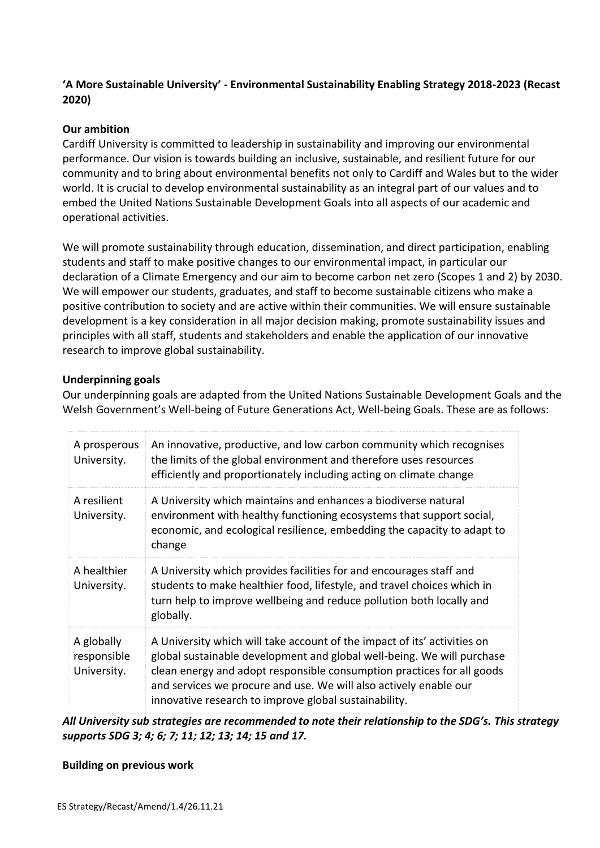# **'A More Sustainable University' - Environmental Sustainability Enabling Strategy 2018-2023 (Recast 2020)**

### **Our ambition**

Cardiff University is committed to leadership in sustainability and improving our environmental performance. Our vision is towards building an inclusive, sustainable, and resilient future for our community and to bring about environmental benefits not only to Cardiff and Wales but to the wider world. It is crucial to develop environmental sustainability as an integral part of our values and to embed the United Nations Sustainable Development Goals into all aspects of our academic and operational activities.

We will promote sustainability through education, dissemination, and direct participation, enabling students and staff to make positive changes to our environmental impact, in particular our declaration of a Climate Emergency and our aim to become carbon net zero (Scopes 1 and 2) by 2030. We will empower our students, graduates, and staff to become sustainable citizens who make a positive contribution to society and are active within their communities. We will ensure sustainable development is a key consideration in all major decision making, promote sustainability issues and principles with all staff, students and stakeholders and enable the application of our innovative research to improve global sustainability.

#### **Underpinning goals**

Our underpinning goals are adapted from the United Nations Sustainable Development Goals and the Welsh Government's Well-being of Future Generations Act, Well-being Goals. These are as follows:

| A prosperous<br>University.              | An innovative, productive, and low carbon community which recognises<br>the limits of the global environment and therefore uses resources<br>efficiently and proportionately including acting on climate change                                                                                                                                            |
|------------------------------------------|------------------------------------------------------------------------------------------------------------------------------------------------------------------------------------------------------------------------------------------------------------------------------------------------------------------------------------------------------------|
| A resilient<br>University.               | A University which maintains and enhances a biodiverse natural<br>environment with healthy functioning ecosystems that support social,<br>economic, and ecological resilience, embedding the capacity to adapt to<br>change                                                                                                                                |
| A healthier<br>University.               | A University which provides facilities for and encourages staff and<br>students to make healthier food, lifestyle, and travel choices which in<br>turn help to improve wellbeing and reduce pollution both locally and<br>globally.                                                                                                                        |
| A globally<br>responsible<br>University. | A University which will take account of the impact of its' activities on<br>global sustainable development and global well-being. We will purchase<br>clean energy and adopt responsible consumption practices for all goods<br>and services we procure and use. We will also actively enable our<br>innovative research to improve global sustainability. |

*All University sub strategies are recommended to note their relationship to the SDG's. This strategy supports SDG 3; 4; 6; 7; 11; 12; 13; 14; 15 and 17.*

#### **Building on previous work**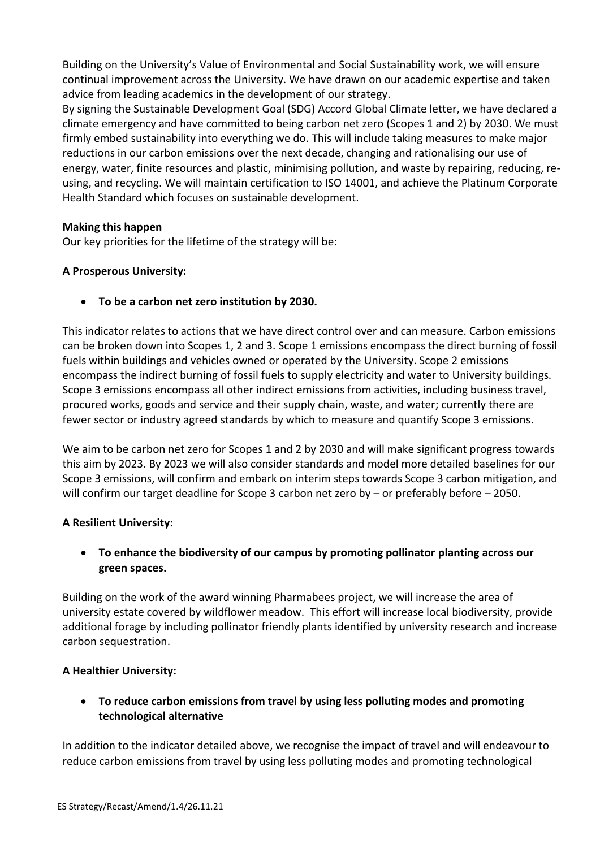Building on the University's Value of Environmental and Social Sustainability work, we will ensure continual improvement across the University. We have drawn on our academic expertise and taken advice from leading academics in the development of our strategy.

By signing the Sustainable Development Goal (SDG) Accord Global Climate letter, we have declared a climate emergency and have committed to being carbon net zero (Scopes 1 and 2) by 2030. We must firmly embed sustainability into everything we do. This will include taking measures to make major reductions in our carbon emissions over the next decade, changing and rationalising our use of energy, water, finite resources and plastic, minimising pollution, and waste by repairing, reducing, reusing, and recycling. We will maintain certification to ISO 14001, and achieve the Platinum Corporate Health Standard which focuses on sustainable development.

### **Making this happen**

Our key priorities for the lifetime of the strategy will be:

# **A Prosperous University:**

• **To be a carbon net zero institution by 2030.**

This indicator relates to actions that we have direct control over and can measure. Carbon emissions can be broken down into Scopes 1, 2 and 3. Scope 1 emissions encompass the direct burning of fossil fuels within buildings and vehicles owned or operated by the University. Scope 2 emissions encompass the indirect burning of fossil fuels to supply electricity and water to University buildings. Scope 3 emissions encompass all other indirect emissions from activities, including business travel, procured works, goods and service and their supply chain, waste, and water; currently there are fewer sector or industry agreed standards by which to measure and quantify Scope 3 emissions.

We aim to be carbon net zero for Scopes 1 and 2 by 2030 and will make significant progress towards this aim by 2023. By 2023 we will also consider standards and model more detailed baselines for our Scope 3 emissions, will confirm and embark on interim steps towards Scope 3 carbon mitigation, and will confirm our target deadline for Scope 3 carbon net zero by – or preferably before – 2050.

### **A Resilient University:**

• **To enhance the biodiversity of our campus by promoting pollinator planting across our green spaces.**

Building on the work of the award winning Pharmabees project, we will increase the area of university estate covered by wildflower meadow. This effort will increase local biodiversity, provide additional forage by including pollinator friendly plants identified by university research and increase carbon sequestration.

### **A Healthier University:**

# • **To reduce carbon emissions from travel by using less polluting modes and promoting technological alternative**

In addition to the indicator detailed above, we recognise the impact of travel and will endeavour to reduce carbon emissions from travel by using less polluting modes and promoting technological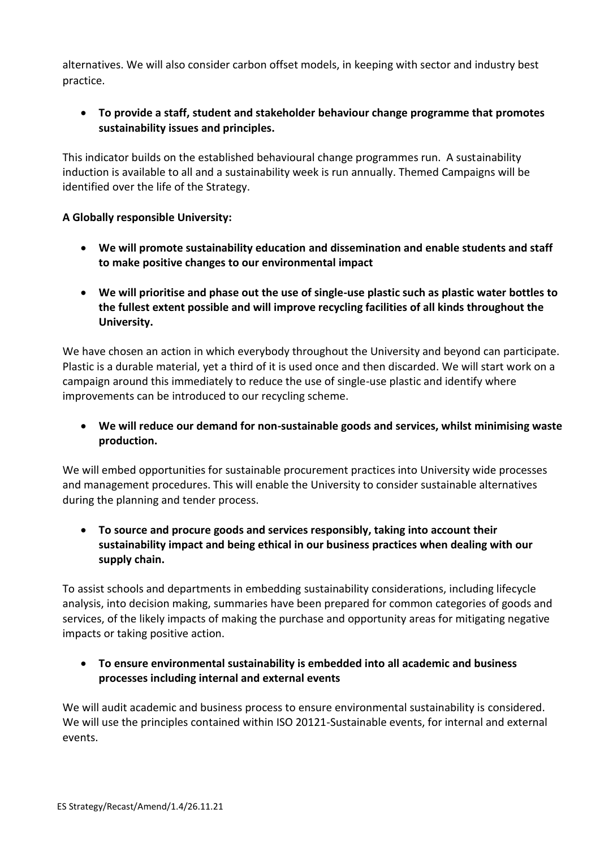alternatives. We will also consider carbon offset models, in keeping with sector and industry best practice.

# • **To provide a staff, student and stakeholder behaviour change programme that promotes sustainability issues and principles.**

This indicator builds on the established behavioural change programmes run. A sustainability induction is available to all and a sustainability week is run annually. Themed Campaigns will be identified over the life of the Strategy.

### **A Globally responsible University:**

- **We will promote sustainability education and dissemination and enable students and staff to make positive changes to our environmental impact**
- **We will prioritise and phase out the use of single-use plastic such as plastic water bottles to the fullest extent possible and will improve recycling facilities of all kinds throughout the University.**

We have chosen an action in which everybody throughout the University and beyond can participate. Plastic is a durable material, yet a third of it is used once and then discarded. We will start work on a campaign around this immediately to reduce the use of single-use plastic and identify where improvements can be introduced to our recycling scheme.

• **We will reduce our demand for non-sustainable goods and services, whilst minimising waste production.**

We will embed opportunities for sustainable procurement practices into University wide processes and management procedures. This will enable the University to consider sustainable alternatives during the planning and tender process.

# • **To source and procure goods and services responsibly, taking into account their sustainability impact and being ethical in our business practices when dealing with our supply chain.**

To assist schools and departments in embedding sustainability considerations, including lifecycle analysis, into decision making, summaries have been prepared for common categories of goods and services, of the likely impacts of making the purchase and opportunity areas for mitigating negative impacts or taking positive action.

• **To ensure environmental sustainability is embedded into all academic and business processes including internal and external events**

We will audit academic and business process to ensure environmental sustainability is considered. We will use the principles contained within ISO 20121-Sustainable events, for internal and external events.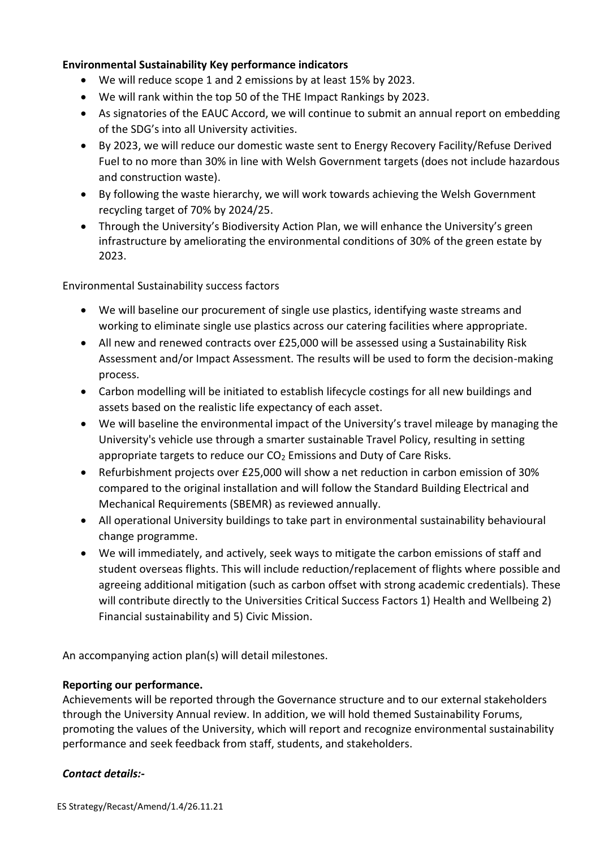### **Environmental Sustainability Key performance indicators**

- We will reduce scope 1 and 2 emissions by at least 15% by 2023.
- We will rank within the top 50 of the THE Impact Rankings by 2023.
- As signatories of the EAUC Accord, we will continue to submit an annual report on embedding of the SDG's into all University activities.
- By 2023, we will reduce our domestic waste sent to Energy Recovery Facility/Refuse Derived Fuel to no more than 30% in line with Welsh Government targets (does not include hazardous and construction waste).
- By following the waste hierarchy, we will work towards achieving the Welsh Government recycling target of 70% by 2024/25.
- Through the University's Biodiversity Action Plan, we will enhance the University's green infrastructure by ameliorating the environmental conditions of 30% of the green estate by 2023.

Environmental Sustainability success factors

- We will baseline our procurement of single use plastics, identifying waste streams and working to eliminate single use plastics across our catering facilities where appropriate.
- All new and renewed contracts over £25,000 will be assessed using a Sustainability Risk Assessment and/or Impact Assessment. The results will be used to form the decision-making process.
- Carbon modelling will be initiated to establish lifecycle costings for all new buildings and assets based on the realistic life expectancy of each asset.
- We will baseline the environmental impact of the University's travel mileage by managing the University's vehicle use through a smarter sustainable Travel Policy, resulting in setting appropriate targets to reduce our  $CO<sub>2</sub>$  Emissions and Duty of Care Risks.
- Refurbishment projects over £25,000 will show a net reduction in carbon emission of 30% compared to the original installation and will follow the Standard Building Electrical and Mechanical Requirements (SBEMR) as reviewed annually.
- All operational University buildings to take part in environmental sustainability behavioural change programme.
- We will immediately, and actively, seek ways to mitigate the carbon emissions of staff and student overseas flights. This will include reduction/replacement of flights where possible and agreeing additional mitigation (such as carbon offset with strong academic credentials). These will contribute directly to the Universities Critical Success Factors 1) Health and Wellbeing 2) Financial sustainability and 5) Civic Mission.

An accompanying action plan(s) will detail milestones.

### **Reporting our performance.**

Achievements will be reported through the Governance structure and to our external stakeholders through the University Annual review. In addition, we will hold themed Sustainability Forums, promoting the values of the University, which will report and recognize environmental sustainability performance and seek feedback from staff, students, and stakeholders.

### *Contact details:-*